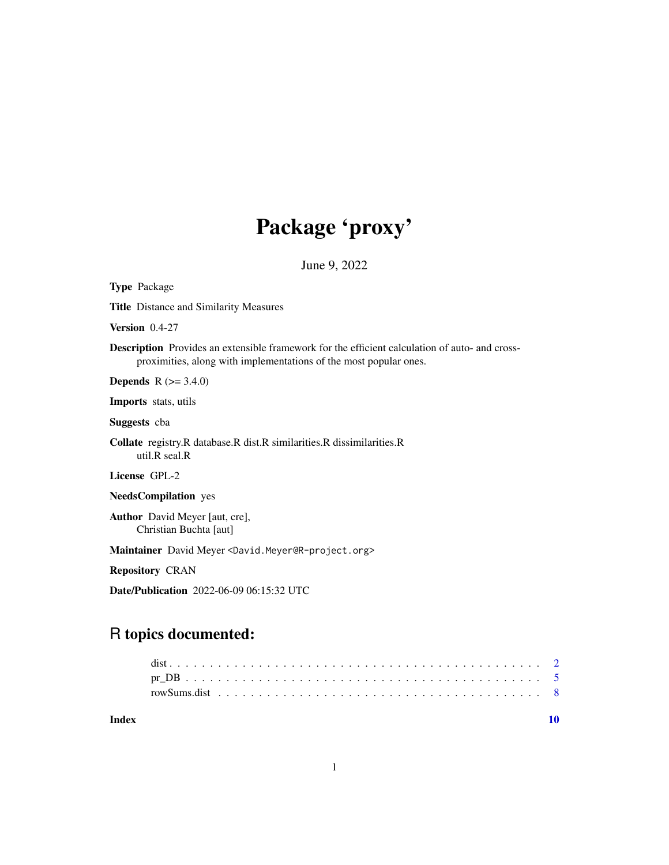# Package 'proxy'

June 9, 2022

| <b>Type Package</b>                                                                                                                                                        |
|----------------------------------------------------------------------------------------------------------------------------------------------------------------------------|
| <b>Title</b> Distance and Similarity Measures                                                                                                                              |
| Version $0.4-27$                                                                                                                                                           |
| <b>Description</b> Provides an extensible framework for the efficient calculation of auto- and cross-<br>proximities, along with implementations of the most popular ones. |
| <b>Depends</b> $R (= 3.4.0)$                                                                                                                                               |
| <b>Imports</b> stats, utils                                                                                                                                                |
| <b>Suggests</b> cba                                                                                                                                                        |
| Collate registry.R database.R dist.R similarities.R dissimilarities.R<br>util.R seal.R                                                                                     |
| License GPL-2                                                                                                                                                              |
| <b>NeedsCompilation</b> yes                                                                                                                                                |
| <b>Author</b> David Meyer [aut, cre],<br>Christian Buchta [aut]                                                                                                            |
| Maintainer David Meyer <david.meyer@r-project.org></david.meyer@r-project.org>                                                                                             |
| <b>Repository CRAN</b>                                                                                                                                                     |
| <b>Date/Publication</b> 2022-06-09 06:15:32 UTC                                                                                                                            |

### R topics documented:

 $\blacksquare$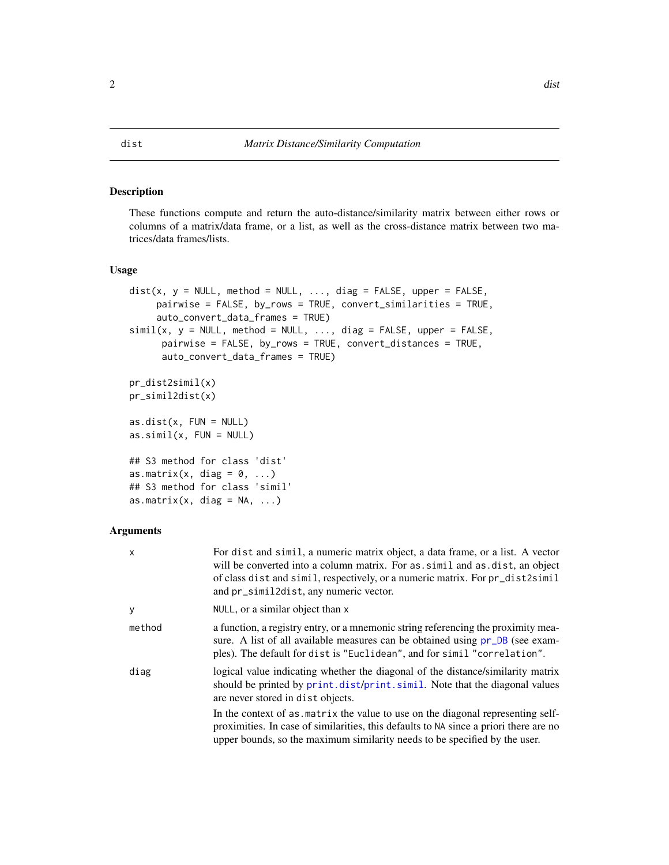#### <span id="page-1-2"></span><span id="page-1-1"></span><span id="page-1-0"></span>Description

These functions compute and return the auto-distance/similarity matrix between either rows or columns of a matrix/data frame, or a list, as well as the cross-distance matrix between two matrices/data frames/lists.

#### Usage

```
dist(x, y = NULL, method = NULL, ..., diag = FALSE, upper = FALSE,pairwise = FALSE, by_rows = TRUE, convert_similarities = TRUE,
     auto_convert_data_frames = TRUE)
simil(x, y = NULL, method = NULL, ..., diag = FALSE, upper = FALSE,pairwise = FALSE, by_rows = TRUE, convert_distances = TRUE,
     auto_convert_data_frames = TRUE)
pr_dist2simil(x)
pr_simil2dist(x)
as.dist(x, FUN = NULL)as.simil(x, FUN = NULL)## S3 method for class 'dist'
as.matrix(x, diag = 0, ...)
## S3 method for class 'simil'
as.matrix(x, diag = NA, ...)
```
#### Arguments

| x      | For dist and simil, a numeric matrix object, a data frame, or a list. A vector<br>will be converted into a column matrix. For as simil and as dist, an object<br>of class dist and simil, respectively, or a numeric matrix. For pr_dist2simil<br>and pr_simil2dist, any numeric vector. |
|--------|------------------------------------------------------------------------------------------------------------------------------------------------------------------------------------------------------------------------------------------------------------------------------------------|
| y      | NULL, or a similar object than x                                                                                                                                                                                                                                                         |
| method | a function, a registry entry, or a mnemonic string referencing the proximity mea-<br>sure. A list of all available measures can be obtained using pr_DB (see exam-<br>ples). The default for dist is "Euclidean", and for simil "correlation".                                           |
| diag   | logical value indicating whether the diagonal of the distance/similarity matrix<br>should be printed by print. dist/print. simil. Note that the diagonal values<br>are never stored in dist objects.                                                                                     |
|        | In the context of as matrix the value to use on the diagonal representing self-<br>proximities. In case of similarities, this defaults to NA since a priori there are no<br>upper bounds, so the maximum similarity needs to be specified by the user.                                   |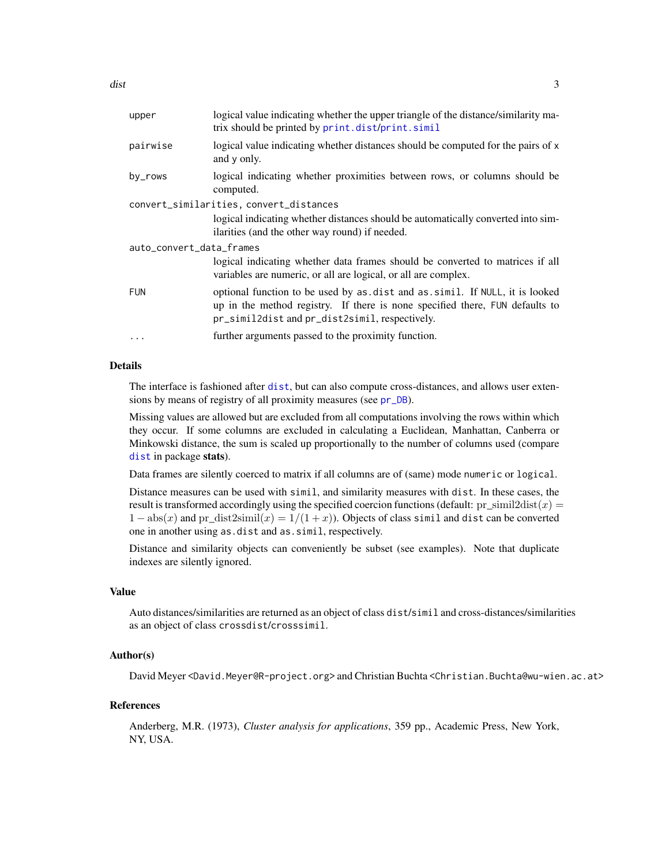<span id="page-2-0"></span>

| upper                    | logical value indicating whether the upper triangle of the distance/similarity ma-<br>trix should be printed by print.dist/print.simil                                                                        |
|--------------------------|---------------------------------------------------------------------------------------------------------------------------------------------------------------------------------------------------------------|
| pairwise                 | logical value indicating whether distances should be computed for the pairs of x<br>and y only.                                                                                                               |
| by_rows                  | logical indicating whether proximities between rows, or columns should be<br>computed.                                                                                                                        |
|                          | convert_similarities, convert_distances                                                                                                                                                                       |
|                          | logical indicating whether distances should be automatically converted into sim-<br>ilarities (and the other way round) if needed.                                                                            |
| auto_convert_data_frames |                                                                                                                                                                                                               |
|                          | logical indicating whether data frames should be converted to matrices if all<br>variables are numeric, or all are logical, or all are complex.                                                               |
| <b>FUN</b>               | optional function to be used by as dist and as simil. If NULL, it is looked<br>up in the method registry. If there is none specified there, FUN defaults to<br>pr_simil2dist and pr_dist2simil, respectively. |
| $\cdots$                 | further arguments passed to the proximity function.                                                                                                                                                           |
|                          |                                                                                                                                                                                                               |

#### Details

The interface is fashioned after [dist](#page-1-2), but can also compute cross-distances, and allows user extensions by means of registry of all proximity measures (see [pr\\_DB](#page-4-1)).

Missing values are allowed but are excluded from all computations involving the rows within which they occur. If some columns are excluded in calculating a Euclidean, Manhattan, Canberra or Minkowski distance, the sum is scaled up proportionally to the number of columns used (compare [dist](#page-1-2) in package stats).

Data frames are silently coerced to matrix if all columns are of (same) mode numeric or logical.

Distance measures can be used with simil, and similarity measures with dist. In these cases, the result is transformed accordingly using the specified coercion functions (default:  $pr\_simil2dist(x)$ )  $1 - abs(x)$  and pr\_dist2simil(x) = 1/(1+x)). Objects of class simil and dist can be converted one in another using as.dist and as.simil, respectively.

Distance and similarity objects can conveniently be subset (see examples). Note that duplicate indexes are silently ignored.

#### Value

Auto distances/similarities are returned as an object of class dist/simil and cross-distances/similarities as an object of class crossdist/crosssimil.

#### Author(s)

David Meyer <David.Meyer@R-project.org> and Christian Buchta <Christian.Buchta@wu-wien.ac.at>

#### References

Anderberg, M.R. (1973), *Cluster analysis for applications*, 359 pp., Academic Press, New York, NY, USA.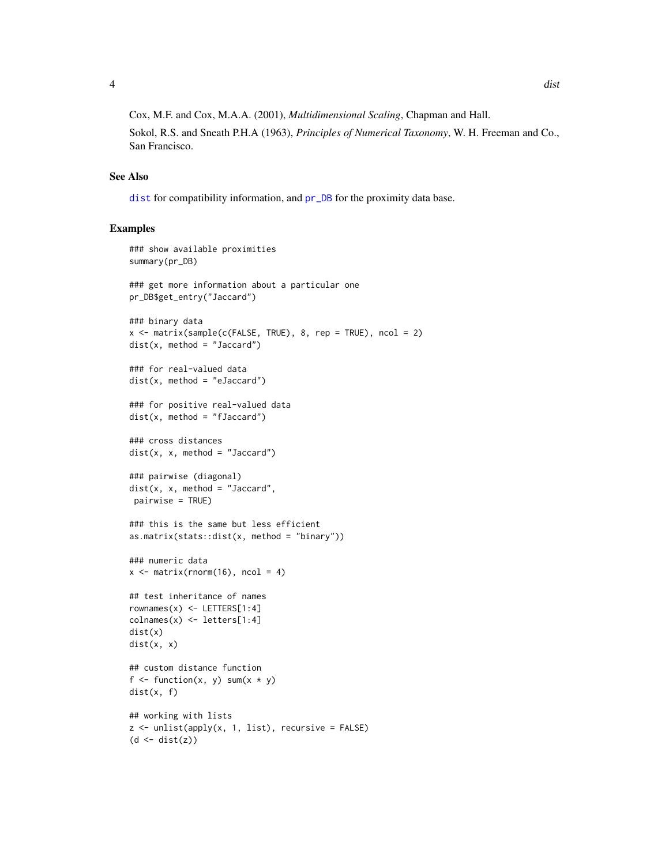<span id="page-3-0"></span>Cox, M.F. and Cox, M.A.A. (2001), *Multidimensional Scaling*, Chapman and Hall.

Sokol, R.S. and Sneath P.H.A (1963), *Principles of Numerical Taxonomy*, W. H. Freeman and Co., San Francisco.

#### See Also

[dist](#page-1-2) for compatibility information, and [pr\\_DB](#page-4-1) for the proximity data base.

#### Examples

```
### show available proximities
summary(pr_DB)
### get more information about a particular one
pr_DB$get_entry("Jaccard")
### binary data
x \le matrix(sample(c(FALSE, TRUE), 8, rep = TRUE), ncol = 2)
dist(x, method = "Jaccard")### for real-valued data
dist(x, method = "eJaccard")### for positive real-valued data
dist(x, method = "fJaccard")### cross distances
dist(x, x, method = "Jaccard")### pairwise (diagonal)
dist(x, x, method = "Jaccard",pairwise = TRUE)
### this is the same but less efficient
as.matrix(stats::dist(x, method = "binary"))
### numeric data
x \le matrix(rnorm(16), ncol = 4)
## test inheritance of names
rownames(x) <- LETTERS[1:4]
\text{colnames}(x) \leq \text{letters}[1:4]dist(x)
dist(x, x)
## custom distance function
f <- function(x, y) sum(x * y)
dist(x, f)
## working with lists
z \le unlist(apply(x, 1, list), recursive = FALSE)
(d \leftarrow dist(z))
```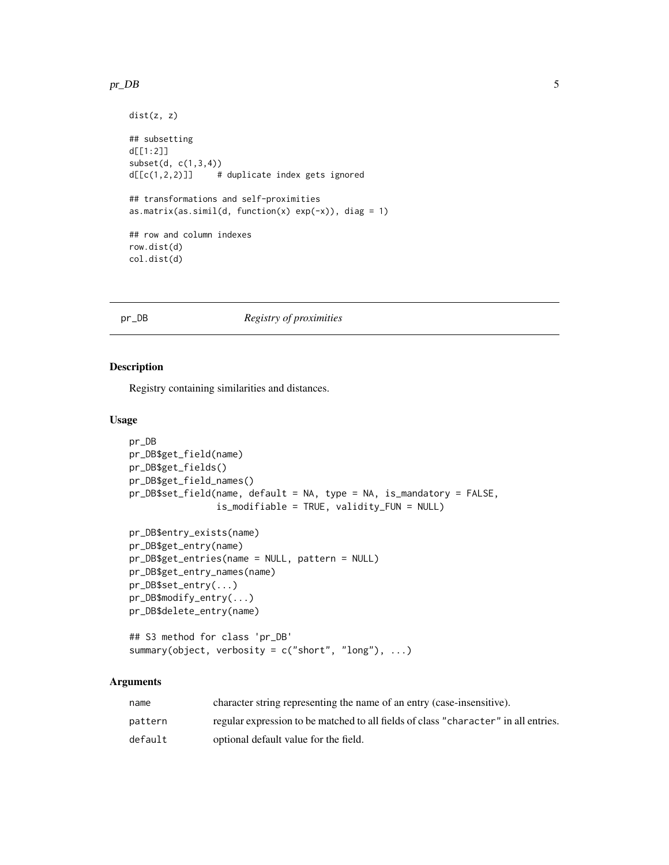#### <span id="page-4-0"></span> $pr\_{DB}$  5

```
dist(z, z)
## subsetting
d[[1:2]]
subset(d, c(1,3,4))
d[[c(1,2,2)]] # duplicate index gets ignored
## transformations and self-proximities
as.matrix(as.simil(d, function(x) exp(-x)), diag = 1)
## row and column indexes
row.dist(d)
col.dist(d)
```
### <span id="page-4-1"></span>pr\_DB *Registry of proximities*

#### Description

Registry containing similarities and distances.

#### Usage

```
pr_DB
pr_DB$get_field(name)
pr_DB$get_fields()
pr_DB$get_field_names()
pr_DB$set_field(name, default = NA, type = NA, is_mandatory = FALSE,
                is_modifiable = TRUE, validity_FUN = NULL)
pr_DB$entry_exists(name)
pr_DB$get_entry(name)
pr_DB$get_entries(name = NULL, pattern = NULL)
pr_DB$get_entry_names(name)
pr_DB$set_entry(...)
pr_DB$modify_entry(...)
pr_DB$delete_entry(name)
## S3 method for class 'pr_DB'
summary(object, verbosity = c("short", "long"), ...)
```
#### Arguments

| name    | character string representing the name of an entry (case-insensitive).              |
|---------|-------------------------------------------------------------------------------------|
| pattern | regular expression to be matched to all fields of class "character" in all entries. |
| default | optional default value for the field.                                               |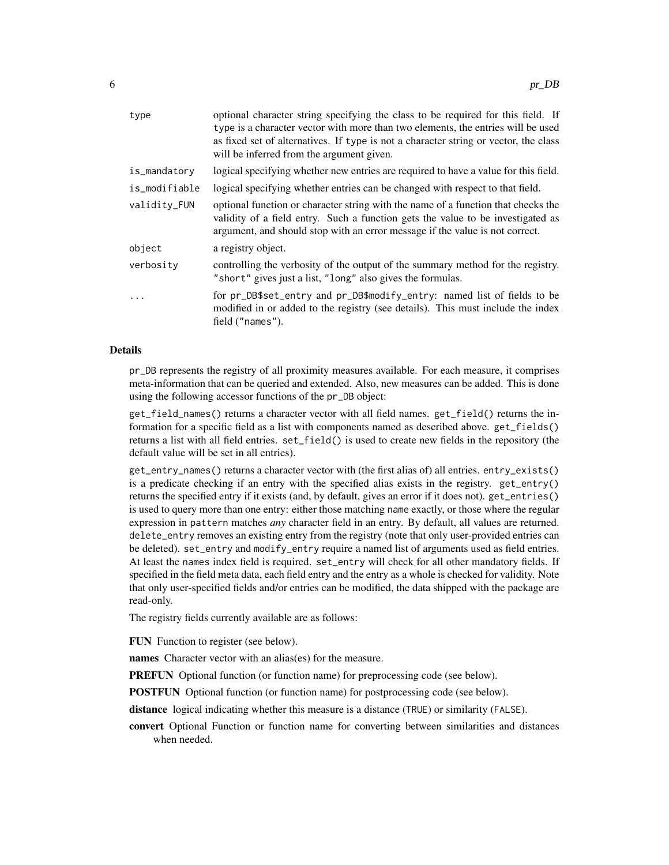| type          | optional character string specifying the class to be required for this field. If<br>type is a character vector with more than two elements, the entries will be used<br>as fixed set of alternatives. If type is not a character string or vector, the class<br>will be inferred from the argument given. |
|---------------|-----------------------------------------------------------------------------------------------------------------------------------------------------------------------------------------------------------------------------------------------------------------------------------------------------------|
| is_mandatory  | logical specifying whether new entries are required to have a value for this field.                                                                                                                                                                                                                       |
| is_modifiable | logical specifying whether entries can be changed with respect to that field.                                                                                                                                                                                                                             |
| validity_FUN  | optional function or character string with the name of a function that checks the<br>validity of a field entry. Such a function gets the value to be investigated as<br>argument, and should stop with an error message if the value is not correct.                                                      |
| object        | a registry object.                                                                                                                                                                                                                                                                                        |
| verbosity     | controlling the verbosity of the output of the summary method for the registry.<br>"short" gives just a list, "long" also gives the formulas.                                                                                                                                                             |
| .             | for pr_DB\$set_entry and pr_DB\$modify_entry: named list of fields to be<br>modified in or added to the registry (see details). This must include the index<br>field ("names").                                                                                                                           |
|               |                                                                                                                                                                                                                                                                                                           |

#### Details

pr\_DB represents the registry of all proximity measures available. For each measure, it comprises meta-information that can be queried and extended. Also, new measures can be added. This is done using the following accessor functions of the pr\_DB object:

get\_field\_names() returns a character vector with all field names. get\_field() returns the information for a specific field as a list with components named as described above. get\_fields() returns a list with all field entries. set\_field() is used to create new fields in the repository (the default value will be set in all entries).

get\_entry\_names() returns a character vector with (the first alias of) all entries. entry\_exists() is a predicate checking if an entry with the specified alias exists in the registry. get\_entry() returns the specified entry if it exists (and, by default, gives an error if it does not). get\_entries() is used to query more than one entry: either those matching name exactly, or those where the regular expression in pattern matches *any* character field in an entry. By default, all values are returned. delete\_entry removes an existing entry from the registry (note that only user-provided entries can be deleted). set\_entry and modify\_entry require a named list of arguments used as field entries. At least the names index field is required. set\_entry will check for all other mandatory fields. If specified in the field meta data, each field entry and the entry as a whole is checked for validity. Note that only user-specified fields and/or entries can be modified, the data shipped with the package are read-only.

The registry fields currently available are as follows:

FUN Function to register (see below).

names Character vector with an alias(es) for the measure.

PREFUN Optional function (or function name) for preprocessing code (see below).

POSTFUN Optional function (or function name) for postprocessing code (see below).

distance logical indicating whether this measure is a distance (TRUE) or similarity (FALSE).

convert Optional Function or function name for converting between similarities and distances when needed.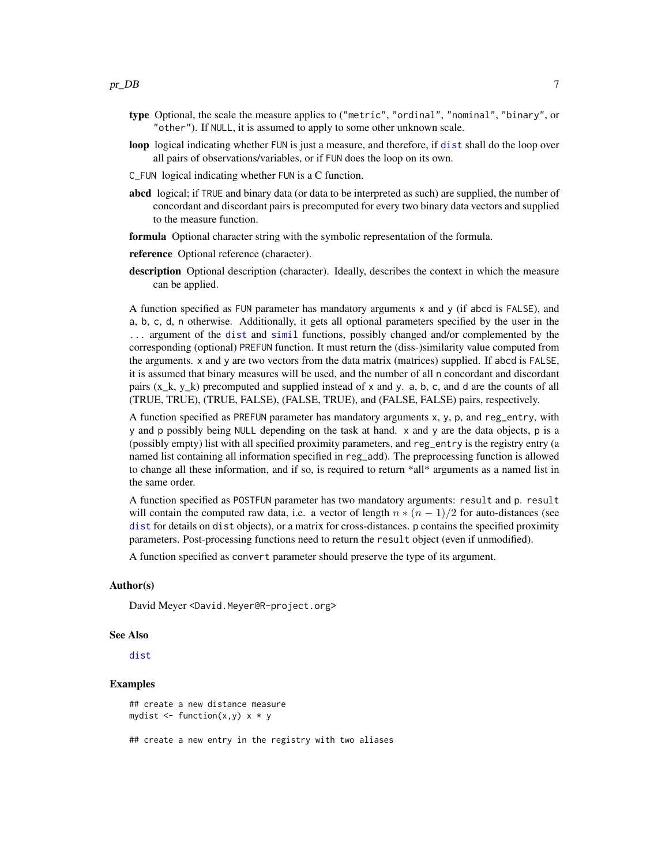- <span id="page-6-0"></span>type Optional, the scale the measure applies to ("metric", "ordinal", "nominal", "binary", or "other"). If NULL, it is assumed to apply to some other unknown scale.
- loop logical indicating whether FUN is just a measure, and therefore, if [dist](#page-1-2) shall do the loop over all pairs of observations/variables, or if FUN does the loop on its own.
- C\_FUN logical indicating whether FUN is a C function.
- abcd logical; if TRUE and binary data (or data to be interpreted as such) are supplied, the number of concordant and discordant pairs is precomputed for every two binary data vectors and supplied to the measure function.
- formula Optional character string with the symbolic representation of the formula.
- reference Optional reference (character).
- description Optional description (character). Ideally, describes the context in which the measure can be applied.

A function specified as FUN parameter has mandatory arguments x and y (if abcd is FALSE), and a, b, c, d, n otherwise. Additionally, it gets all optional parameters specified by the user in the ... argument of the [dist](#page-1-2) and [simil](#page-1-1) functions, possibly changed and/or complemented by the corresponding (optional) PREFUN function. It must return the (diss-)similarity value computed from the arguments. x and y are two vectors from the data matrix (matrices) supplied. If abcd is FALSE, it is assumed that binary measures will be used, and the number of all n concordant and discordant pairs  $(x_k, y_k)$  precomputed and supplied instead of x and y. a, b, c, and d are the counts of all (TRUE, TRUE), (TRUE, FALSE), (FALSE, TRUE), and (FALSE, FALSE) pairs, respectively.

A function specified as PREFUN parameter has mandatory arguments x, y, p, and reg\_entry, with y and p possibly being NULL depending on the task at hand. x and y are the data objects, p is a (possibly empty) list with all specified proximity parameters, and reg\_entry is the registry entry (a named list containing all information specified in reg\_add). The preprocessing function is allowed to change all these information, and if so, is required to return \*all\* arguments as a named list in the same order.

A function specified as POSTFUN parameter has two mandatory arguments: result and p. result will contain the computed raw data, i.e. a vector of length  $n * (n - 1)/2$  for auto-distances (see [dist](#page-1-2) for details on dist objects), or a matrix for cross-distances. p contains the specified proximity parameters. Post-processing functions need to return the result object (even if unmodified).

A function specified as convert parameter should preserve the type of its argument.

#### Author(s)

David Meyer <David.Meyer@R-project.org>

#### See Also

[dist](#page-1-2)

#### Examples

```
## create a new distance measure
mydist \leq function(x,y) x * y
```
## create a new entry in the registry with two aliases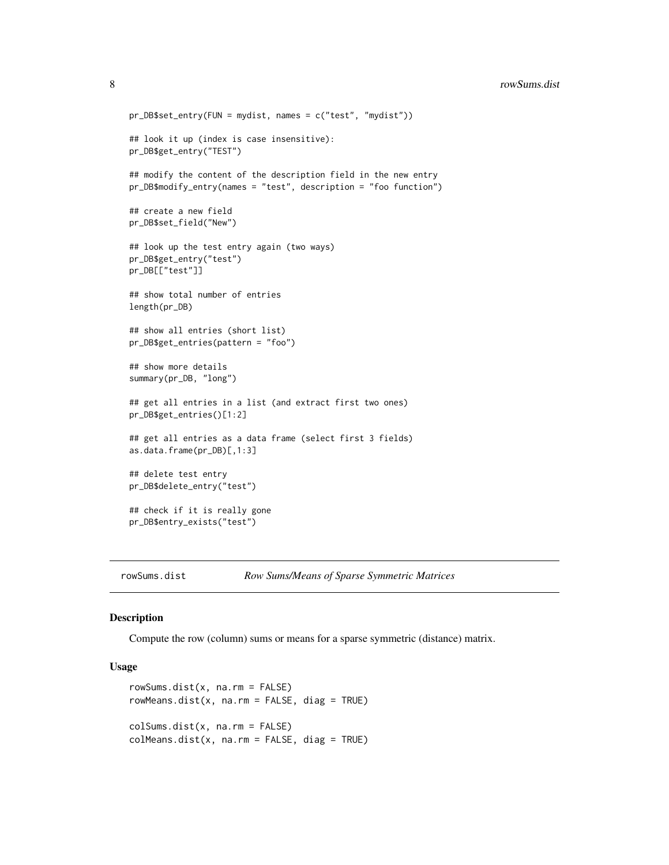```
pr_DB$set_entry(FUN = mydist, names = c("test", "mydist"))
## look it up (index is case insensitive):
pr_DB$get_entry("TEST")
## modify the content of the description field in the new entry
pr_DB$modify_entry(names = "test", description = "foo function")
## create a new field
pr_DB$set_field("New")
## look up the test entry again (two ways)
pr_DB$get_entry("test")
pr_DB[["test"]]
## show total number of entries
length(pr_DB)
## show all entries (short list)
pr_DB$get_entries(pattern = "foo")
## show more details
summary(pr_DB, "long")
## get all entries in a list (and extract first two ones)
pr_DB$get_entries()[1:2]
## get all entries as a data frame (select first 3 fields)
as.data.frame(pr_DB)[,1:3]
## delete test entry
pr_DB$delete_entry("test")
## check if it is really gone
pr_DB$entry_exists("test")
```
rowSums.dist *Row Sums/Means of Sparse Symmetric Matrices*

#### Description

Compute the row (column) sums or means for a sparse symmetric (distance) matrix.

#### Usage

```
rowSums.dist(x, na.rm = FALSE)
rowMeans.dist(x, na.rm = FALSE, diag = TRUE)
colSums.dist(x, na.rm = FALSE)
colMeans.dist(x, na.rm = FALSE, diag = TRUE)
```
<span id="page-7-0"></span>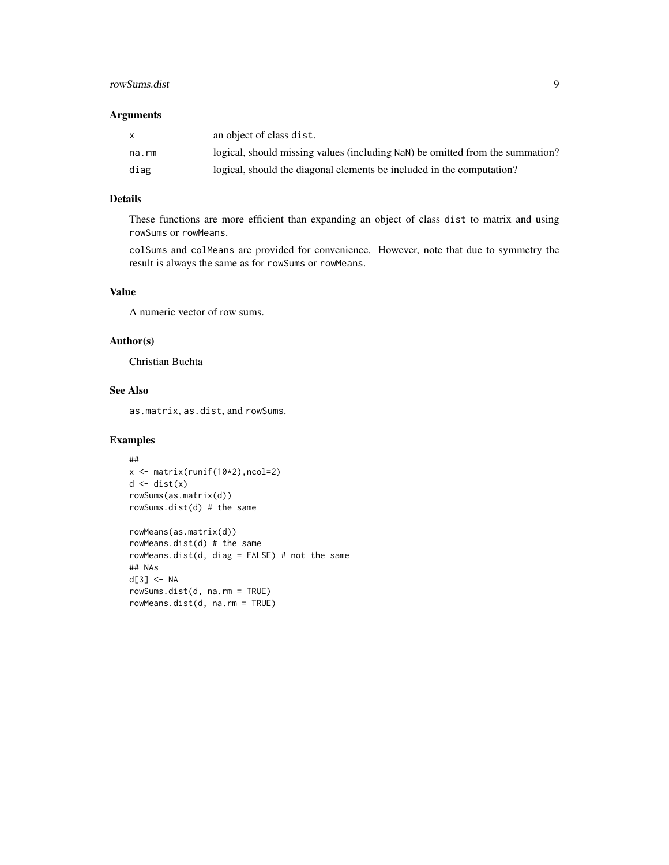#### rowSums.dist 9

#### Arguments

| X     | an object of class dist.                                                      |
|-------|-------------------------------------------------------------------------------|
| na.rm | logical, should missing values (including NaN) be omitted from the summation? |
| diag  | logical, should the diagonal elements be included in the computation?         |

#### Details

These functions are more efficient than expanding an object of class dist to matrix and using rowSums or rowMeans.

colSums and colMeans are provided for convenience. However, note that due to symmetry the result is always the same as for rowSums or rowMeans.

#### Value

A numeric vector of row sums.

#### Author(s)

Christian Buchta

#### See Also

as.matrix, as.dist, and rowSums.

#### Examples

```
##
x <- matrix(runif(10*2),ncol=2)
d \leftarrow dist(x)rowSums(as.matrix(d))
rowSums.dist(d) # the same
rowMeans(as.matrix(d))
rowMeans.dist(d) # the same
rowMeans.dist(d, diag = FALSE) # not the same
## NAs
d[3] <- NA
rowSums.dist(d, na.rm = TRUE)
rowMeans.dist(d, na.rm = TRUE)
```